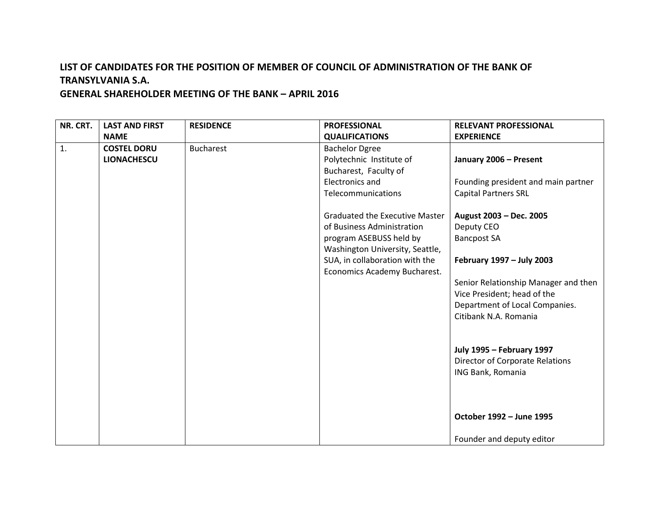# **LIST OF CANDIDATES FOR THE POSITION OF MEMBER OF COUNCIL OF ADMINISTRATION OF THE BANK OF TRANSYLVANIA S.A.**

### **GENERAL SHAREHOLDER MEETING OF THE BANK – APRIL 2016**

| NR. CRT.       | <b>LAST AND FIRST</b> | <b>RESIDENCE</b> | <b>PROFESSIONAL</b>                   | <b>RELEVANT PROFESSIONAL</b>         |
|----------------|-----------------------|------------------|---------------------------------------|--------------------------------------|
|                | <b>NAME</b>           |                  | <b>QUALIFICATIONS</b>                 | <b>EXPERIENCE</b>                    |
| $\mathbf{1}$ . | <b>COSTEL DORU</b>    | <b>Bucharest</b> | <b>Bachelor Dgree</b>                 |                                      |
|                | <b>LIONACHESCU</b>    |                  | Polytechnic Institute of              | January 2006 - Present               |
|                |                       |                  | Bucharest, Faculty of                 |                                      |
|                |                       |                  | <b>Electronics and</b>                | Founding president and main partner  |
|                |                       |                  | Telecommunications                    | <b>Capital Partners SRL</b>          |
|                |                       |                  | <b>Graduated the Executive Master</b> | August 2003 - Dec. 2005              |
|                |                       |                  | of Business Administration            | Deputy CEO                           |
|                |                       |                  | program ASEBUSS held by               | <b>Bancpost SA</b>                   |
|                |                       |                  | Washington University, Seattle,       |                                      |
|                |                       |                  | SUA, in collaboration with the        | February 1997 - July 2003            |
|                |                       |                  | Economics Academy Bucharest.          |                                      |
|                |                       |                  |                                       | Senior Relationship Manager and then |
|                |                       |                  |                                       | Vice President; head of the          |
|                |                       |                  |                                       | Department of Local Companies.       |
|                |                       |                  |                                       | Citibank N.A. Romania                |
|                |                       |                  |                                       |                                      |
|                |                       |                  |                                       | <b>July 1995 - February 1997</b>     |
|                |                       |                  |                                       | Director of Corporate Relations      |
|                |                       |                  |                                       | ING Bank, Romania                    |
|                |                       |                  |                                       |                                      |
|                |                       |                  |                                       |                                      |
|                |                       |                  |                                       | October 1992 - June 1995             |
|                |                       |                  |                                       | Founder and deputy editor            |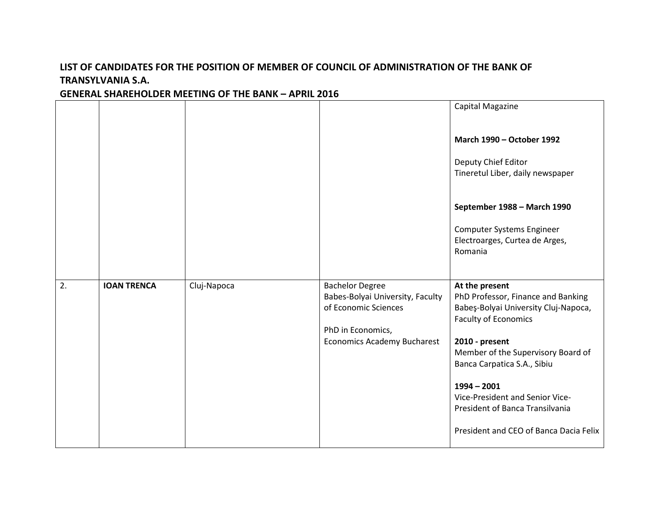## **LIST OF CANDIDATES FOR THE POSITION OF MEMBER OF COUNCIL OF ADMINISTRATION OF THE BANK OF TRANSYLVANIA S.A.**

#### **GENERAL SHAREHOLDER MEETING OF THE BANK – APRIL 2016**

|    |                    |             |                                                                                                                                        | Capital Magazine                                                                                                                                                                                                                                                                                                                                    |
|----|--------------------|-------------|----------------------------------------------------------------------------------------------------------------------------------------|-----------------------------------------------------------------------------------------------------------------------------------------------------------------------------------------------------------------------------------------------------------------------------------------------------------------------------------------------------|
|    |                    |             |                                                                                                                                        | <b>March 1990 - October 1992</b>                                                                                                                                                                                                                                                                                                                    |
|    |                    |             |                                                                                                                                        | Deputy Chief Editor<br>Tineretul Liber, daily newspaper                                                                                                                                                                                                                                                                                             |
|    |                    |             |                                                                                                                                        | September 1988 - March 1990                                                                                                                                                                                                                                                                                                                         |
|    |                    |             |                                                                                                                                        | <b>Computer Systems Engineer</b><br>Electroarges, Curtea de Arges,<br>Romania                                                                                                                                                                                                                                                                       |
| 2. | <b>IOAN TRENCA</b> | Cluj-Napoca | <b>Bachelor Degree</b><br>Babes-Bolyai University, Faculty<br>of Economic Sciences<br>PhD in Economics,<br>Economics Academy Bucharest | At the present<br>PhD Professor, Finance and Banking<br>Babeş-Bolyai University Cluj-Napoca,<br><b>Faculty of Economics</b><br>2010 - present<br>Member of the Supervisory Board of<br>Banca Carpatica S.A., Sibiu<br>$1994 - 2001$<br>Vice-President and Senior Vice-<br>President of Banca Transilvania<br>President and CEO of Banca Dacia Felix |